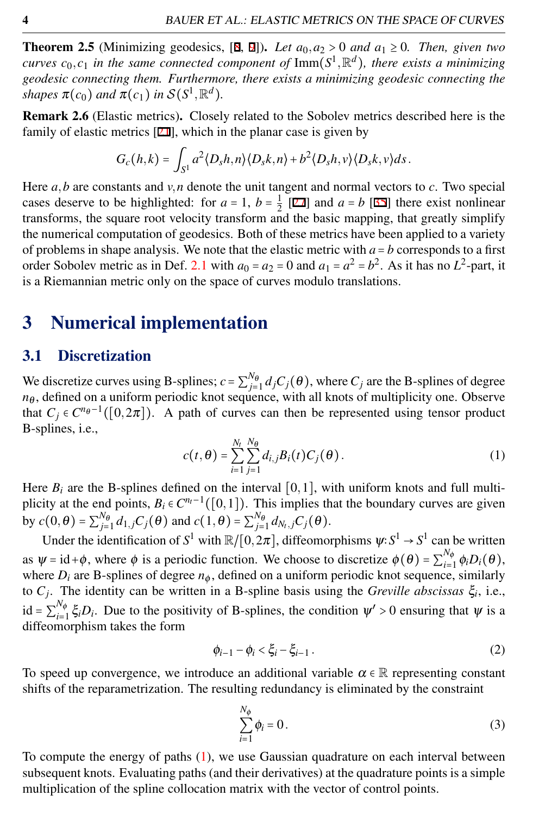**Theorem 2.5** (Minimizing geodesics,  $[8, 9]$ ). *Let*  $a_0, a_2 > 0$  *and*  $a_1 \ge 0$ *. Then, given two curves*  $c_0, c_1$  *in the same connected component of*  $\text{Imm}(S^1, \mathbb{R}^d)$ *, there exists a minimizing geodesic connecting them. Furthermore, there exists a minimizing geodesic connecting the shapes*  $\pi(c_0)$  *and*  $\pi(c_1)$  *in*  $S(S^1, \mathbb{R}^d)$ *.* 

Remark 2.6 (Elastic metrics). Closely related to the Sobolev metrics described here is the family of elastic metrics [21], which in the planar case is given by

$$
G_c(h,k)=\int_{S^1}a^2\langle D_sh,n\rangle\langle D_sk,n\rangle+b^2\langle D_sh,\nu\rangle\langle D_sk,\nu\rangle ds.
$$

Here  $a, b$  are constants and  $v, n$  denote the unit tangent and normal vectors to  $c$ . Two special cases deserve to be highlighted: for  $a = 1$ ,  $b = \frac{1}{2}$  [27] and  $a = b$  [35] there exist nonlinear transforms, the square root velocity transform and the basic mapping, that greatly simplify the numerical computation of geodesics. Both of these metrics have been applied to a variety of problems in shape analysis. We note that the elastic metric with  $a = b$  corresponds to a first order Sobolev metric as in Def. [2.1](#page-1-0) with  $a_0 = a_2 = 0$  and  $a_1 = a^2 = b^2$ . As it has no  $L^2$ -part, it is a Riemannian metric only on the space of curves modulo translations.

## 3 Numerical implementation

#### 3.1 Discretization

We discretize curves using B-splines;  $c = \sum_{j=1}^{N_{\theta}} d_j C_j(\theta)$ , where  $C_j$  are the B-splines of degree  $n_{\theta}$ , defined on a uniform periodic knot sequence, with all knots of multiplicity one. Observe that  $C_j \in C^{n_{\theta}-1}([0,2\pi])$ . A path of curves can then be represented using tensor product B-splines, i.e.,

<span id="page-3-0"></span>
$$
c(t,\theta) = \sum_{i=1}^{N_t} \sum_{j=1}^{N_{\theta}} d_{i,j} B_i(t) C_j(\theta).
$$
 (1)

Here  $B_i$  are the B-splines defined on the interval  $[0,1]$ , with uniform knots and full multiplicity at the end points,  $B_i \in C^{n_i-1}([0,1])$ . This implies that the boundary curves are given **by**  $c(0, θ) = \sum_{j=1}^{N_{\theta}} d_{1,j} C_j(θ)$  and  $c(1, θ) = \sum_{j=1}^{N_{\theta}} d_{N_t,j} C_j(θ)$ .

Under the identification of  $S^1$  with  $\mathbb{R}/[0,2\pi]$ , diffeomorphisms  $\psi: S^1 \to S^1$  can be written as  $\Psi = id + \phi$ , where  $\phi$  is a periodic function. We choose to discretize  $\phi(\theta) = \sum_{i=1}^{N_{\phi}} \phi_i D_i(\theta)$ , where  $D_i$  are B-splines of degree  $n_{\phi}$ , defined on a uniform periodic knot sequence, similarly to  $C_j$ . The identity can be written in a B-spline basis using the *Greville abscissas*  $\xi_i$ , i.e., id =  $\sum_{i=1}^{N_{\phi}} \xi_i D_i$ . Due to the positivity of B-splines, the condition  $\psi' > 0$  ensuring that  $\psi$  is a diffeomorphism takes the form

<span id="page-3-1"></span>
$$
\phi_{i-1} - \phi_i < \xi_i - \xi_{i-1} \,. \tag{2}
$$

To speed up convergence, we introduce an additional variable  $\alpha \in \mathbb{R}$  representing constant shifts of the reparametrization. The resulting redundancy is eliminated by the constraint

<span id="page-3-2"></span>
$$
\sum_{i=1}^{N_{\phi}} \phi_i = 0.
$$
\n(3)

To compute the energy of paths [\(1\)](#page-3-0), we use Gaussian quadrature on each interval between subsequent knots. Evaluating paths (and their derivatives) at the quadrature points is a simple multiplication of the spline collocation matrix with the vector of control points.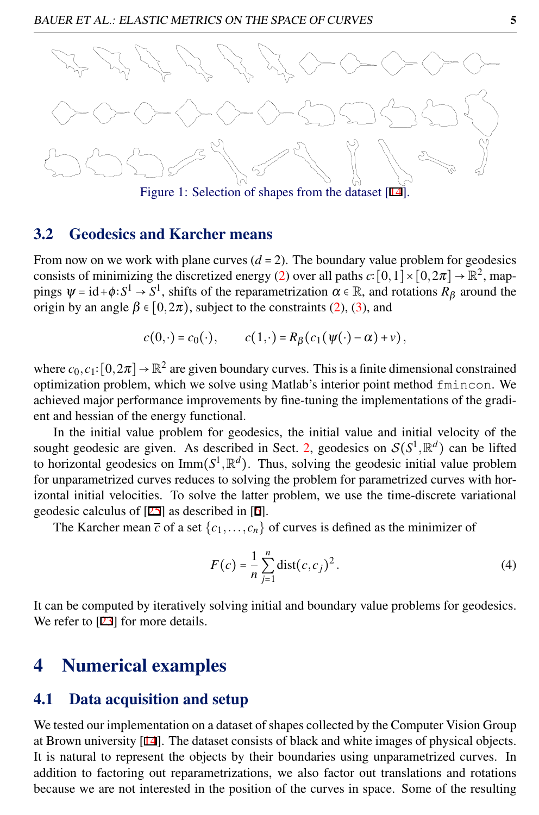

### 3.2 Geodesics and Karcher means

From now on we work with plane curves  $(d = 2)$ . The boundary value problem for geodesics consists of minimizing the discretized energy [\(2\)](#page-2-0) over all paths  $c: [0,1] \times [0,2\pi] \rightarrow \mathbb{R}^2$ , mappings  $\Psi = id + \phi : S^1 \to S^1$ , shifts of the reparametrization  $\alpha \in \mathbb{R}$ , and rotations  $R_\beta$  around the origin by an angle  $\beta \in [0, 2\pi)$ , subject to the constraints [\(2\)](#page-3-1), [\(3\)](#page-3-2), and

$$
c(0,\cdot)=c_0(\cdot), \qquad c(1,\cdot)=R_\beta(c_1(\psi(\cdot)-\alpha)+\nu),
$$

where  $c_0, c_1: [0, 2\pi] \to \mathbb{R}^2$  are given boundary curves. This is a finite dimensional constrained optimization problem, which we solve using Matlab's interior point method fmincon. We achieved major performance improvements by fine-tuning the implementations of the gradient and hessian of the energy functional.

In the initial value problem for geodesics, the initial value and initial velocity of the sought geodesic are given. As described in Sect. [2,](#page-1-1) geodesics on  $S(S^1, \mathbb{R}^d)$  can be lifted to horizontal geodesics on  $\text{Imm}(S^1, \mathbb{R}^d)$ . Thus, solving the geodesic initial value problem for unparametrized curves reduces to solving the problem for parametrized curves with horizontal initial velocities. To solve the latter problem, we use the time-discrete variational geodesic calculus of [25] as described in [6].

The Karcher mean  $\bar{c}$  of a set  $\{c_1, \ldots, c_n\}$  of curves is defined as the minimizer of

$$
F(c) = \frac{1}{n} \sum_{j=1}^{n} \text{dist}(c, c_j)^2.
$$
 (4)

It can be computed by iteratively solving initial and boundary value problems for geodesics. We refer to [23] for more details.

## 4 Numerical examples

#### 4.1 Data acquisition and setup

We tested our implementation on a dataset of shapes collected by the Computer Vision Group at Brown university [14]. The dataset consists of black and white images of physical objects. It is natural to represent the objects by their boundaries using unparametrized curves. In addition to factoring out reparametrizations, we also factor out translations and rotations because we are not interested in the position of the curves in space. Some of the resulting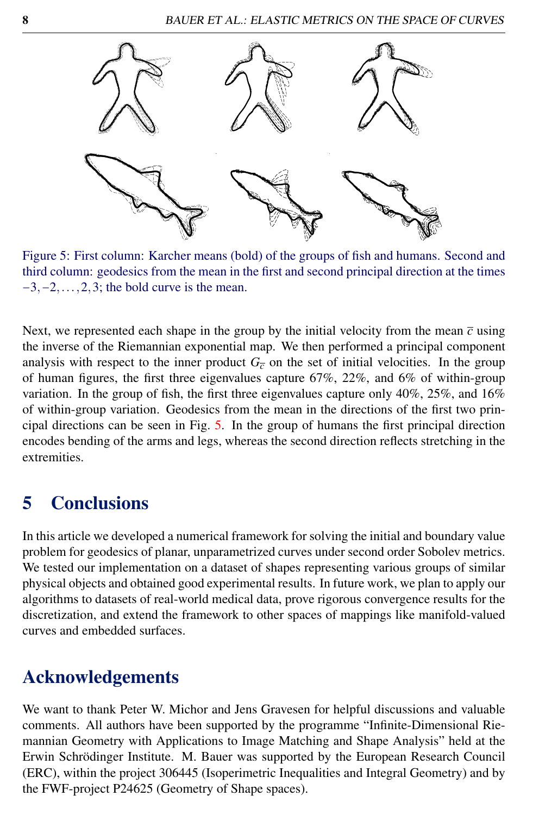

<span id="page-7-0"></span>Figure 5: First column: Karcher means (bold) of the groups of fish and humans. Second and third column: geodesics from the mean in the first and second principal direction at the times  $-3, -2, \ldots, 2, 3$ ; the bold curve is the mean.

Next, we represented each shape in the group by the initial velocity from the mean  $\bar{c}$  using the inverse of the Riemannian exponential map. We then performed a principal component analysis with respect to the inner product  $G_{\overline{c}}$  on the set of initial velocities. In the group of human figures, the first three eigenvalues capture 67%, 22%, and 6% of within-group variation. In the group of fish, the first three eigenvalues capture only  $40\%$ ,  $25\%$ , and  $16\%$ of within-group variation. Geodesics from the mean in the directions of the first two principal directions can be seen in Fig. [5.](#page-7-0) In the group of humans the first principal direction encodes bending of the arms and legs, whereas the second direction reflects stretching in the extremities.

# 5 Conclusions

In this article we developed a numerical framework for solving the initial and boundary value problem for geodesics of planar, unparametrized curves under second order Sobolev metrics. We tested our implementation on a dataset of shapes representing various groups of similar physical objects and obtained good experimental results. In future work, we plan to apply our algorithms to datasets of real-world medical data, prove rigorous convergence results for the discretization, and extend the framework to other spaces of mappings like manifold-valued curves and embedded surfaces.

# Acknowledgements

We want to thank Peter W. Michor and Jens Gravesen for helpful discussions and valuable comments. All authors have been supported by the programme "Infinite-Dimensional Riemannian Geometry with Applications to Image Matching and Shape Analysis" held at the Erwin Schrödinger Institute. M. Bauer was supported by the European Research Council (ERC), within the project 306445 (Isoperimetric Inequalities and Integral Geometry) and by the FWF-project P24625 (Geometry of Shape spaces).